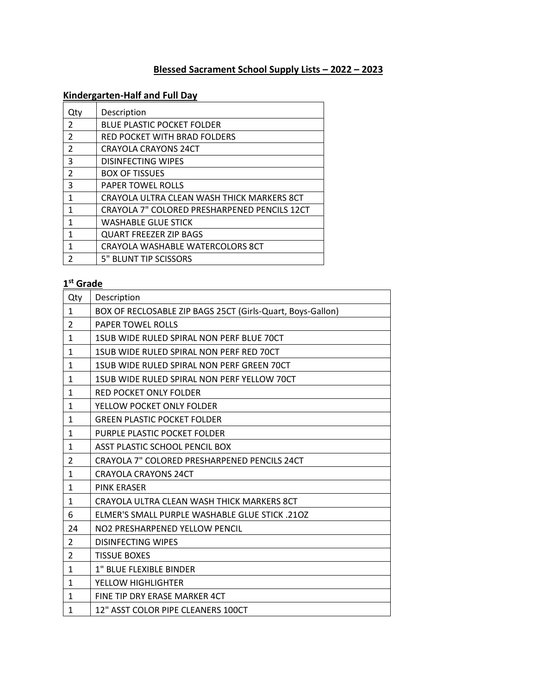# **Blessed Sacrament School Supply Lists – 2022 – 2023**

## **Kindergarten-Half and Full Day**

| Qty                     | Description                                  |
|-------------------------|----------------------------------------------|
| $\overline{2}$          | <b>BLUE PLASTIC POCKET FOLDER</b>            |
| $\mathcal{P}$           | RED POCKET WITH BRAD FOLDERS                 |
| $\overline{2}$          | <b>CRAYOLA CRAYONS 24CT</b>                  |
| 3                       | <b>DISINFECTING WIPES</b>                    |
| $\overline{\mathbf{c}}$ | <b>BOX OF TISSUES</b>                        |
| 3                       | <b>PAPER TOWEL ROLLS</b>                     |
| 1                       | CRAYOLA ULTRA CLEAN WASH THICK MARKERS 8CT   |
| 1                       | CRAYOLA 7" COLORED PRESHARPENED PENCILS 12CT |
| 1                       | WASHABLE GLUE STICK                          |
| 1                       | <b>QUART FREEZER ZIP BAGS</b>                |
| 1                       | CRAYOLA WASHABLE WATERCOLORS 8CT             |
| 2                       | 5" BLUNT TIP SCISSORS                        |

#### **st Grade**

| Qty            | Description                                                |
|----------------|------------------------------------------------------------|
| $\mathbf{1}$   | BOX OF RECLOSABLE ZIP BAGS 25CT (Girls-Quart, Boys-Gallon) |
| $\overline{2}$ | <b>PAPER TOWEL ROLLS</b>                                   |
| $\mathbf{1}$   | 1SUB WIDE RULED SPIRAL NON PERF BLUE 70CT                  |
| $\mathbf{1}$   | 1SUB WIDE RULED SPIRAL NON PERF RED 70CT                   |
| $\mathbf{1}$   | 1SUB WIDE RULED SPIRAL NON PERF GREEN 70CT                 |
| $\mathbf{1}$   | 1SUB WIDE RULED SPIRAL NON PERF YELLOW 70CT                |
| $\mathbf{1}$   | <b>RED POCKET ONLY FOLDER</b>                              |
| $\mathbf{1}$   | YELLOW POCKET ONLY FOLDER                                  |
| $\mathbf{1}$   | <b>GREEN PLASTIC POCKET FOLDER</b>                         |
| $\mathbf{1}$   | PURPLE PLASTIC POCKET FOLDER                               |
| $\mathbf{1}$   | <b>ASST PLASTIC SCHOOL PENCIL BOX</b>                      |
| 2              | CRAYOLA 7" COLORED PRESHARPENED PENCILS 24CT               |
| $\mathbf{1}$   | <b>CRAYOLA CRAYONS 24CT</b>                                |
| $\mathbf{1}$   | <b>PINK ERASER</b>                                         |
| $\mathbf{1}$   | CRAYOLA ULTRA CLEAN WASH THICK MARKERS 8CT                 |
| 6              | <b>ELMER'S SMALL PURPLE WASHABLE GLUE STICK .210Z</b>      |
| 24             | NO2 PRESHARPENED YELLOW PENCIL                             |
| $\overline{2}$ | <b>DISINFECTING WIPES</b>                                  |
| $\overline{2}$ | <b>TISSUE BOXES</b>                                        |
| $\mathbf{1}$   | <b>1" BLUE FLEXIBLE BINDER</b>                             |
| $\mathbf{1}$   | YELLOW HIGHLIGHTER                                         |
| $\mathbf{1}$   | FINE TIP DRY ERASE MARKER 4CT                              |
| 1              | 12" ASST COLOR PIPE CLEANERS 100CT                         |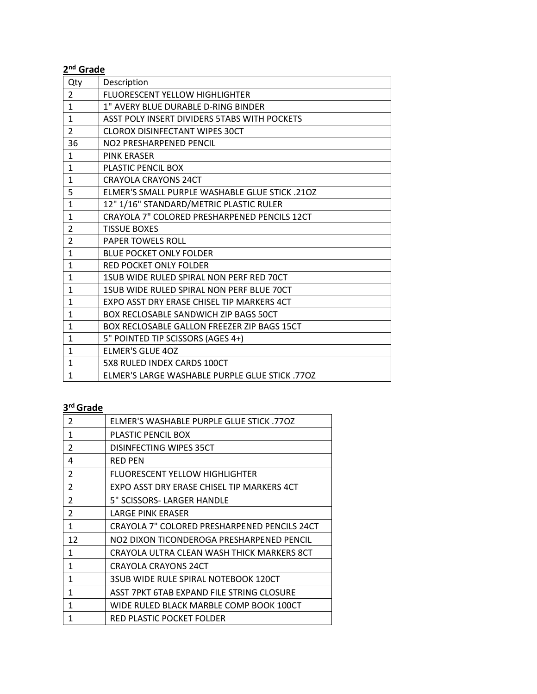| 2 <sup>nd</sup> Grade |                                                       |  |
|-----------------------|-------------------------------------------------------|--|
| Qty                   | Description                                           |  |
| $\overline{2}$        | <b>FLUORESCENT YELLOW HIGHLIGHTER</b>                 |  |
| $\mathbf{1}$          | 1" AVERY BLUE DURABLE D-RING BINDER                   |  |
| $\mathbf{1}$          | ASST POLY INSERT DIVIDERS 5TABS WITH POCKETS          |  |
| $\overline{2}$        | <b>CLOROX DISINFECTANT WIPES 30CT</b>                 |  |
| 36                    | NO2 PRESHARPENED PENCIL                               |  |
| 1                     | <b>PINK ERASER</b>                                    |  |
| $\mathbf{1}$          | PLASTIC PENCIL BOX                                    |  |
| $\mathbf{1}$          | <b>CRAYOLA CRAYONS 24CT</b>                           |  |
| 5                     | <b>ELMER'S SMALL PURPLE WASHABLE GLUE STICK .210Z</b> |  |
| $\mathbf{1}$          | 12" 1/16" STANDARD/METRIC PLASTIC RULER               |  |
| $\mathbf{1}$          | CRAYOLA 7" COLORED PRESHARPENED PENCILS 12CT          |  |
| $\overline{2}$        | <b>TISSUE BOXES</b>                                   |  |
| $\overline{2}$        | <b>PAPER TOWELS ROLL</b>                              |  |
| $\mathbf{1}$          | <b>BLUE POCKET ONLY FOLDER</b>                        |  |
| $\mathbf{1}$          | <b>RED POCKET ONLY FOLDER</b>                         |  |
| $\mathbf{1}$          | 1SUB WIDE RULED SPIRAL NON PERF RED 70CT              |  |
| $\mathbf{1}$          | 1SUB WIDE RULED SPIRAL NON PERF BLUE 70CT             |  |
| $\mathbf{1}$          | EXPO ASST DRY ERASE CHISEL TIP MARKERS 4CT            |  |
| 1                     | BOX RECLOSABLE SANDWICH ZIP BAGS 50CT                 |  |
| 1                     | <b>BOX RECLOSABLE GALLON FREEZER ZIP BAGS 15CT</b>    |  |
| $\mathbf{1}$          | 5" POINTED TIP SCISSORS (AGES 4+)                     |  |
| $\mathbf{1}$          | <b>ELMER'S GLUE 40Z</b>                               |  |
| $\mathbf{1}$          | 5X8 RULED INDEX CARDS 100CT                           |  |
| $\mathbf{1}$          | ELMER'S LARGE WASHABLE PURPLE GLUE STICK .770Z        |  |

#### **rd Grade**

| $\mathfrak{p}$ | ELMER'S WASHABLE PURPLE GLUE STICK .77OZ     |
|----------------|----------------------------------------------|
| 1              | PLASTIC PENCIL BOX                           |
| $\mathfrak{p}$ | DISINFECTING WIPES 35CT                      |
| 4              | <b>RED PEN</b>                               |
| $\mathfrak{p}$ | FLUORESCENT YELLOW HIGHLIGHTER               |
| $\mathfrak{p}$ | EXPO ASST DRY ERASE CHISEL TIP MARKERS 4CT   |
| $\overline{2}$ | 5" SCISSORS- LARGER HANDLE                   |
| 2              | LARGE PINK ERASER                            |
| $\mathbf{1}$   | CRAYOLA 7" COLORED PRESHARPENED PENCILS 24CT |
| 12             | NO2 DIXON TICONDEROGA PRESHARPENED PENCIL    |
| 1              | CRAYOLA ULTRA CLEAN WASH THICK MARKERS 8CT   |
| 1              | <b>CRAYOLA CRAYONS 24CT</b>                  |
| 1              | 3SUB WIDE RULE SPIRAL NOTEBOOK 120CT         |
| 1              | ASST 7PKT 6TAB EXPAND FILE STRING CLOSURE    |
| 1              | WIDE RULED BLACK MARBLE COMP BOOK 100CT      |
| 1              | RED PLASTIC POCKET FOLDER                    |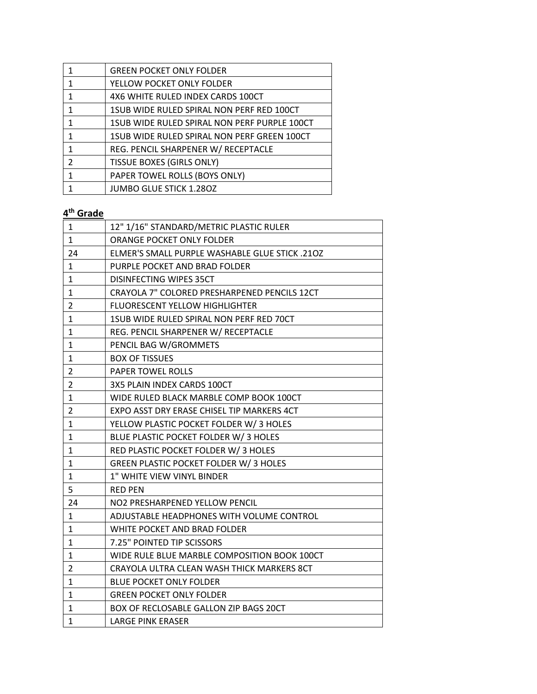|   | <b>GREEN POCKET ONLY FOLDER</b>              |
|---|----------------------------------------------|
|   | YELLOW POCKET ONLY FOLDER                    |
| 1 | 4X6 WHITE RULED INDEX CARDS 100CT            |
|   | 1SUB WIDE RULED SPIRAL NON PERF RED 100CT    |
|   | 1SUB WIDE RULED SPIRAL NON PERF PURPLE 100CT |
| 1 | 1SUB WIDE RULED SPIRAL NON PERF GREEN 100CT  |
| 1 | REG. PENCIL SHARPENER W/ RECEPTACLE          |
| 2 | <b>TISSUE BOXES (GIRLS ONLY)</b>             |
|   | PAPER TOWEL ROLLS (BOYS ONLY)                |
|   | <b>JUMBO GLUE STICK 1.280Z</b>               |

| 1              | 12" 1/16" STANDARD/METRIC PLASTIC RULER        |
|----------------|------------------------------------------------|
|                |                                                |
| $\mathbf{1}$   | ORANGE POCKET ONLY FOLDER                      |
| 24             | ELMER'S SMALL PURPLE WASHABLE GLUE STICK .210Z |
| 1              | PURPLE POCKET AND BRAD FOLDER                  |
| 1              | DISINFECTING WIPES 35CT                        |
| 1              | CRAYOLA 7" COLORED PRESHARPENED PENCILS 12CT   |
| $\overline{2}$ | <b>FLUORESCENT YELLOW HIGHLIGHTER</b>          |
| 1              | 1SUB WIDE RULED SPIRAL NON PERF RED 70CT       |
| $\mathbf{1}$   | REG. PENCIL SHARPENER W/ RECEPTACLE            |
| 1              | PENCIL BAG W/GROMMETS                          |
| $\mathbf{1}$   | <b>BOX OF TISSUES</b>                          |
| $\overline{2}$ | <b>PAPER TOWEL ROLLS</b>                       |
| $\overline{2}$ | 3X5 PLAIN INDEX CARDS 100CT                    |
| $\mathbf{1}$   | WIDE RULED BLACK MARBLE COMP BOOK 100CT        |
| $\overline{2}$ | EXPO ASST DRY ERASE CHISEL TIP MARKERS 4CT     |
| $\mathbf{1}$   | YELLOW PLASTIC POCKET FOLDER W/3 HOLES         |
| $\mathbf{1}$   | BLUE PLASTIC POCKET FOLDER W/3 HOLES           |
| 1              | RED PLASTIC POCKET FOLDER W/3 HOLES            |
| $\mathbf{1}$   | GREEN PLASTIC POCKET FOLDER W/3 HOLES          |
| $\mathbf{1}$   | 1" WHITE VIEW VINYL BINDER                     |
| 5              | <b>RED PEN</b>                                 |
| 24             | NO2 PRESHARPENED YELLOW PENCIL                 |
| 1              | ADJUSTABLE HEADPHONES WITH VOLUME CONTROL      |
| 1              | WHITE POCKET AND BRAD FOLDER                   |
| 1              | 7.25" POINTED TIP SCISSORS                     |
| 1              | WIDE RULE BLUE MARBLE COMPOSITION BOOK 100CT   |
| $\overline{2}$ | CRAYOLA ULTRA CLEAN WASH THICK MARKERS 8CT     |
| $\mathbf{1}$   | <b>BLUE POCKET ONLY FOLDER</b>                 |
| $\mathbf{1}$   | <b>GREEN POCKET ONLY FOLDER</b>                |
| $\mathbf{1}$   | BOX OF RECLOSABLE GALLON ZIP BAGS 20CT         |
| $\mathbf{1}$   | <b>LARGE PINK ERASER</b>                       |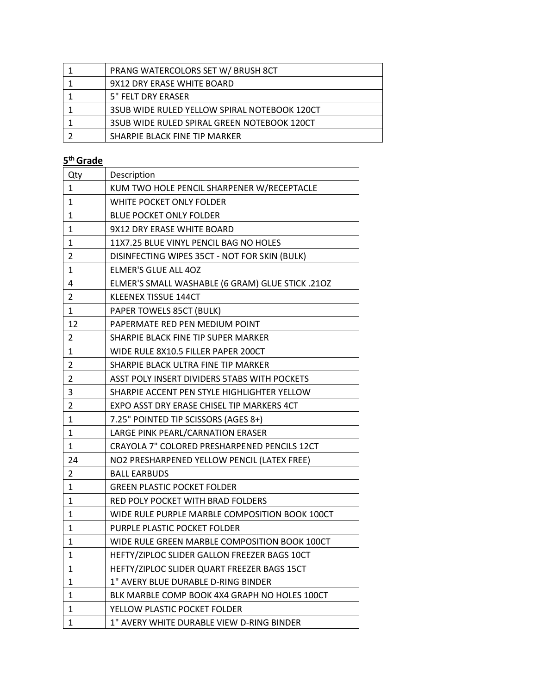| PRANG WATERCOLORS SET W/ BRUSH 8CT           |
|----------------------------------------------|
| 9X12 DRY ERASE WHITE BOARD                   |
| 5" FELT DRY ERASER                           |
| 3SUB WIDE RULED YELLOW SPIRAL NOTEBOOK 120CT |
| 3SUB WIDE RULED SPIRAL GREEN NOTEBOOK 120CT  |
| SHARPIE BLACK FINE TIP MARKER                |

| Qty            | Description                                      |
|----------------|--------------------------------------------------|
| 1              | KUM TWO HOLE PENCIL SHARPENER W/RECEPTACLE       |
| 1              | WHITE POCKET ONLY FOLDER                         |
| 1              | <b>BLUE POCKET ONLY FOLDER</b>                   |
| $\mathbf{1}$   | 9X12 DRY ERASE WHITE BOARD                       |
| 1              | 11X7.25 BLUE VINYL PENCIL BAG NO HOLES           |
| $\overline{2}$ | DISINFECTING WIPES 35CT - NOT FOR SKIN (BULK)    |
| 1              | ELMER'S GLUE ALL 4OZ                             |
| 4              | ELMER'S SMALL WASHABLE (6 GRAM) GLUE STICK .210Z |
| $\overline{2}$ | KLEENEX TISSUE 144CT                             |
| 1              | PAPER TOWELS 85CT (BULK)                         |
| 12             | PAPERMATE RED PEN MEDIUM POINT                   |
| 2              | SHARPIE BLACK FINE TIP SUPER MARKER              |
| 1              | WIDE RULE 8X10.5 FILLER PAPER 200CT              |
| 2              | SHARPIE BLACK ULTRA FINE TIP MARKER              |
| 2              | ASST POLY INSERT DIVIDERS 5TABS WITH POCKETS     |
| 3              | SHARPIE ACCENT PEN STYLE HIGHLIGHTER YELLOW      |
| $\overline{2}$ | EXPO ASST DRY ERASE CHISEL TIP MARKERS 4CT       |
| $\mathbf{1}$   | 7.25" POINTED TIP SCISSORS (AGES 8+)             |
| $\mathbf{1}$   | LARGE PINK PEARL/CARNATION ERASER                |
| 1              | CRAYOLA 7" COLORED PRESHARPENED PENCILS 12CT     |
| 24             | NO2 PRESHARPENED YELLOW PENCIL (LATEX FREE)      |
| 2              | <b>BALL EARBUDS</b>                              |
| $\mathbf{1}$   | <b>GREEN PLASTIC POCKET FOLDER</b>               |
| 1              | RED POLY POCKET WITH BRAD FOLDERS                |
| 1              | WIDE RULE PURPLE MARBLE COMPOSITION BOOK 100CT   |
| 1              | PURPLE PLASTIC POCKET FOLDER                     |
| 1              | WIDE RULE GREEN MARBLE COMPOSITION BOOK 100CT    |
| 1              | HEFTY/ZIPLOC SLIDER GALLON FREEZER BAGS 10CT     |
| 1              | HEFTY/ZIPLOC SLIDER QUART FREEZER BAGS 15CT      |
| 1              | 1" AVERY BLUE DURABLE D-RING BINDER              |
| 1              | BLK MARBLE COMP BOOK 4X4 GRAPH NO HOLES 100CT    |
| 1              | YELLOW PLASTIC POCKET FOLDER                     |
| $\mathbf{1}$   | 1" AVERY WHITE DURABLE VIEW D-RING BINDER        |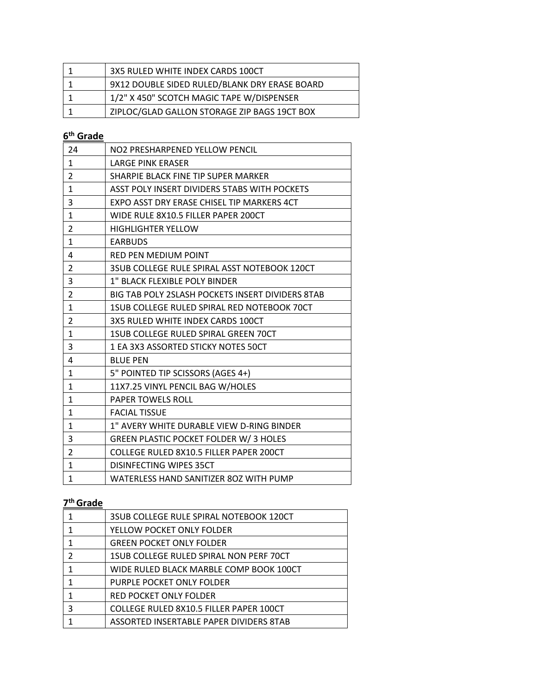| 3X5 RULED WHITE INDEX CARDS 100CT             |
|-----------------------------------------------|
| 9X12 DOUBLE SIDED RULED/BLANK DRY ERASE BOARD |
| 1/2" X 450" SCOTCH MAGIC TAPE W/DISPENSER     |
| ZIPLOC/GLAD GALLON STORAGE ZIP BAGS 19CT BOX  |

| 24             | NO2 PRESHARPENED YELLOW PENCIL                   |
|----------------|--------------------------------------------------|
| 1              | <b>LARGE PINK ERASER</b>                         |
| $\overline{2}$ | SHARPIE BLACK FINE TIP SUPER MARKER              |
| $\mathbf{1}$   | ASST POLY INSERT DIVIDERS 5TABS WITH POCKETS     |
| 3              | EXPO ASST DRY ERASE CHISEL TIP MARKERS 4CT       |
| 1              | WIDE RULE 8X10.5 FILLER PAPER 200CT              |
| $\overline{2}$ | <b>HIGHLIGHTER YELLOW</b>                        |
| $\mathbf{1}$   | <b>EARBUDS</b>                                   |
| 4              | <b>RED PEN MEDIUM POINT</b>                      |
| $\overline{2}$ | 3SUB COLLEGE RULE SPIRAL ASST NOTEBOOK 120CT     |
| 3              | 1" BLACK FLEXIBLE POLY BINDER                    |
| $\overline{2}$ | BIG TAB POLY 2SLASH POCKETS INSERT DIVIDERS 8TAB |
| $\mathbf{1}$   | 1SUB COLLEGE RULED SPIRAL RED NOTEBOOK 70CT      |
| 2              | 3X5 RULED WHITE INDEX CARDS 100CT                |
| $\mathbf{1}$   | <b>1SUB COLLEGE RULED SPIRAL GREEN 70CT</b>      |
| 3              | 1 EA 3X3 ASSORTED STICKY NOTES 50CT              |
| 4              | <b>BLUE PEN</b>                                  |
| $\mathbf{1}$   | 5" POINTED TIP SCISSORS (AGES 4+)                |
| 1              | 11X7.25 VINYL PENCIL BAG W/HOLES                 |
| $\mathbf{1}$   | PAPER TOWELS ROLL                                |
| $\mathbf{1}$   | <b>FACIAL TISSUE</b>                             |
| 1              | 1" AVERY WHITE DURABLE VIEW D-RING BINDER        |
| 3              | GREEN PLASTIC POCKET FOLDER W/3 HOLES            |
| $\overline{2}$ | COLLEGE RULED 8X10.5 FILLER PAPER 200CT          |
| $\mathbf{1}$   | DISINFECTING WIPES 35CT                          |
| $\mathbf{1}$   | WATERLESS HAND SANITIZER 80Z WITH PUMP           |

|   | 3SUB COLLEGE RULE SPIRAL NOTEBOOK 120CT |
|---|-----------------------------------------|
|   | YELLOW POCKET ONLY FOLDER               |
|   | <b>GREEN POCKET ONLY FOLDER</b>         |
|   | 1SUB COLLEGE RULED SPIRAL NON PERF 70CT |
|   | WIDE RULED BLACK MARBLE COMP BOOK 100CT |
| 1 | PURPLE POCKET ONLY FOLDER               |
| 1 | <b>RED POCKET ONLY FOLDER</b>           |
| 3 | COLLEGE RULED 8X10.5 FILLER PAPER 100CT |
|   | ASSORTED INSERTABLE PAPER DIVIDERS 8TAB |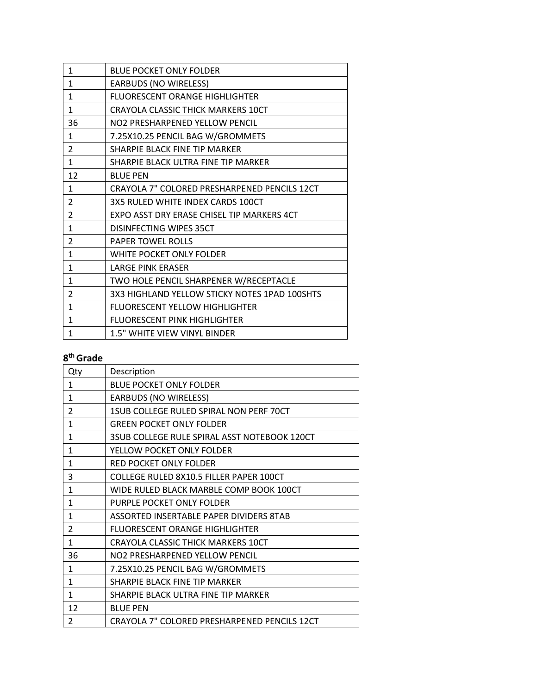| 1              | <b>BLUE POCKET ONLY FOLDER</b>                |
|----------------|-----------------------------------------------|
| 1              | <b>EARBUDS (NO WIRELESS)</b>                  |
| 1              | FLUORESCENT ORANGE HIGHLIGHTER                |
| 1              | CRAYOLA CLASSIC THICK MARKERS 10CT            |
| 36             | NO2 PRESHARPENED YELLOW PENCIL                |
| 1              | 7.25X10.25 PENCIL BAG W/GROMMETS              |
| 2              | SHARPIE BLACK FINE TIP MARKER                 |
| 1              | SHARPIE BLACK ULTRA FINE TIP MARKER           |
| 12             | <b>BLUE PEN</b>                               |
| 1              | CRAYOLA 7" COLORED PRESHARPENED PENCILS 12CT  |
| 2              | 3X5 RULED WHITE INDEX CARDS 100CT             |
| 2              | EXPO ASST DRY ERASE CHISEL TIP MARKERS 4CT    |
| 1              | DISINFECTING WIPES 35CT                       |
| $\overline{2}$ | PAPER TOWEL ROLLS                             |
| 1              | WHITE POCKET ONLY FOLDER                      |
| $\mathbf{1}$   | <b>LARGE PINK ERASER</b>                      |
| 1              | TWO HOLE PENCIL SHARPENER W/RECEPTACLE        |
| 2              | 3X3 HIGHLAND YELLOW STICKY NOTES 1PAD 100SHTS |
| $\mathbf{1}$   | FLUORESCENT YELLOW HIGHLIGHTER                |
| 1              | <b>FLUORESCENT PINK HIGHLIGHTER</b>           |
| 1              | 1.5" WHITE VIEW VINYL BINDER                  |

| Qty            | Description                                  |
|----------------|----------------------------------------------|
| $\mathbf{1}$   | <b>BLUE POCKET ONLY FOLDER</b>               |
| 1              | <b>EARBUDS (NO WIRELESS)</b>                 |
| $\overline{2}$ | 1SUB COLLEGE RULED SPIRAL NON PERF 70CT      |
| 1              | <b>GREEN POCKET ONLY FOLDER</b>              |
| $\mathbf{1}$   | 3SUB COLLEGE RULE SPIRAL ASST NOTEBOOK 120CT |
| $\mathbf{1}$   | YELLOW POCKET ONLY FOLDER                    |
| $\mathbf{1}$   | RED POCKET ONLY FOLDER                       |
| 3              | COLLEGE RULED 8X10.5 FILLER PAPER 100CT      |
| $\mathbf{1}$   | WIDE RULED BLACK MARBLE COMP BOOK 100CT      |
| 1              | PURPLE POCKET ONLY FOLDER                    |
| $\mathbf{1}$   | ASSORTED INSERTABLE PAPER DIVIDERS 8TAB      |
| $\overline{2}$ | <b>FLUORESCENT ORANGE HIGHLIGHTER</b>        |
| 1              | <b>CRAYOLA CLASSIC THICK MARKERS 10CT</b>    |
| 36             | NO2 PRESHARPENED YELLOW PENCIL               |
| $\mathbf{1}$   | 7.25X10.25 PENCIL BAG W/GROMMETS             |
| $\mathbf{1}$   | SHARPIE BLACK FINE TIP MARKER                |
| 1              | SHARPIE BLACK ULTRA FINE TIP MARKER          |
| 12             | <b>BLUE PEN</b>                              |
| 2              | CRAYOLA 7" COLORED PRESHARPENED PENCILS 12CT |